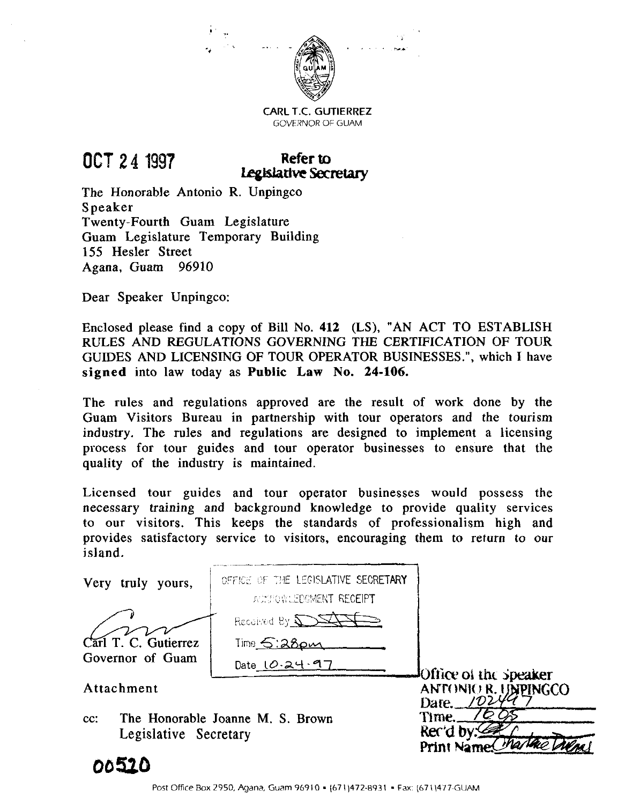

**CARL T.C. GUTIERREZ**  GOVERNOR **OF** GUAM

# OCT 24 1997

# **Refer to** Legislative Secretary

The Honorable Antonio R. Unpingco Speaker Twenty-Fourth Guam Legislature Guam Legislature Temporary Building 155 Hesler Street Agana, Guam 96910

Dear Speaker Unpingco:

Enclosed please find a copy of Bill No. 412 (LS), "AN ACT TO ESTABLISH RULES AND REGULATIONS GOVERNING THE CERTIFICATION OF TOUR GUIDES AND LICENSING OF TOUR OPERATOR BUSINESSES.", which I have signed into law today as Public Law No. 24-106.

The rules and regulations approved are the result of work done by the Guam Visitors Bureau in partnership with tour operators and the tourism industry. The rules and regulations are designed to implement a licensing process for tour guides and tour operator businesses to ensure that the quality of the industry is maintained.

Licensed tour guides and tour operator businesses would possess the necessary training and background knowledge to provide quality services to our visitors. This keeps the standards of professionalism high and provides satisfactory service to visitors, encouraging them to return to our island.

| Very truly yours,                        | OFFICE OF THE LEGISLATIVE SECRETARY<br>ACCHONLEDGMENT RECEIPT |                                                                 |
|------------------------------------------|---------------------------------------------------------------|-----------------------------------------------------------------|
| Carl T. C. Gutierrez<br>Governor of Guam | Received By $\sum \sum$<br>Time 5:380m                        |                                                                 |
| Attachment                               | Date $10.24.97$                                               | JOffice of the speaker<br>ANTONIO R. UNPINGCO<br>Date.<br>Time. |
| cc:<br>Legislative Secretary             | The Honorable Joanne M. S. Brown                              | Rec'd b<br>Print!                                               |

**00~0**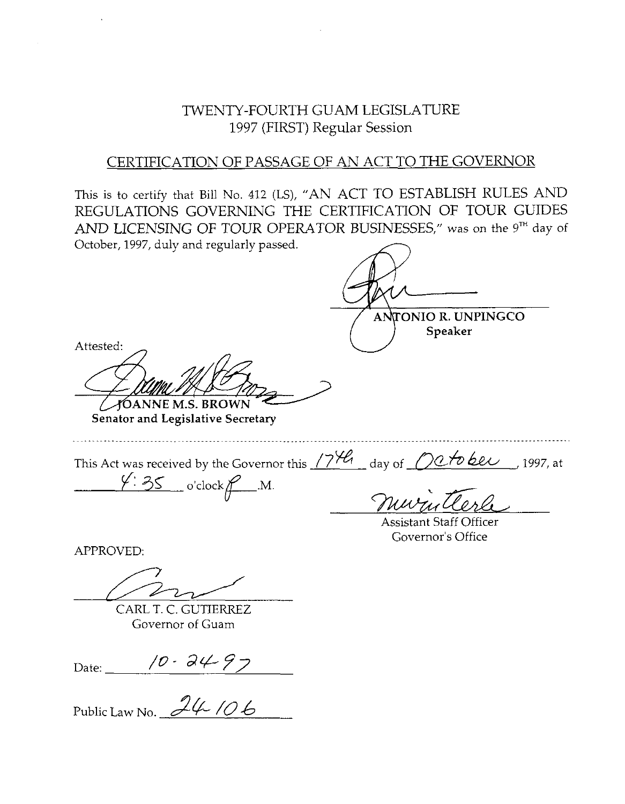# TWENTY-FOURTH GUAM LEGISLATURE 1997 (FIRST) Regular Session

# CERTIFICATION OF PASSAGE OF AN ACT TO THE GOVERNOR

This is to certify that Bill No. 412 (LS), "AN ACT TO ESTABLISH RULES AND REGULATIONS GOVERNING THE CERTIFICATION OF TOUR GUIDES AND LICENSING OF TOUR OPERATOR BUSINESSES," was on the 9<sup>TH</sup> day of October, 1997, duly and regularly passed.

I0 **R. UNPINGCO**  Speaker

Attested:

**CANNEMS.BROWN** 

Senator and Legislative Secretary

This Act was received by the Governor this 17th day of 0ctober 1997, at : *3* o',lock&.~.

**2** 

Assistant Staff Officer Governor's Office

APPROVED:

CARL T. C. GUTIERREZ Governor of Guam

Date: *10 - 24 9 7* 

Public Law No. 24-106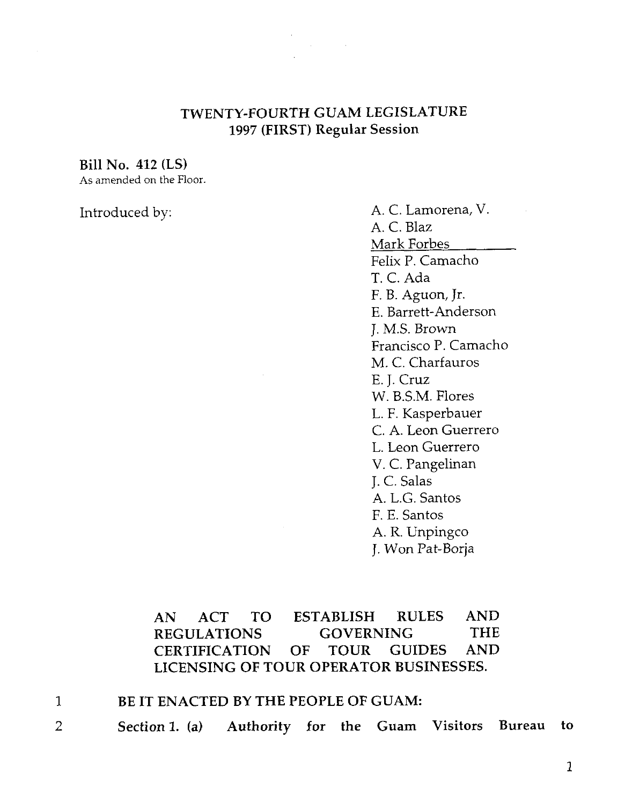

 $\mathcal{L}_{\text{max}}$  and  $\mathcal{L}_{\text{max}}$ 

# **Bill No. 412 (LS)**

**As** amended on the Floor

Introduced by: A. C. Lamorena, V. A. C. Blaz Mark Forbes Felix P. Camacho T. C. Ada F. B. Aguon, Jr. E. Barrett-Anderson J. M.S. Brown Francisco P. Camacho M. C. Charfauros E. J. Cruz W. B.S.M. Flores L. F. Kasperbauer C. A. Leon Guerrero L. Leon Guerrero V. C. Pangelinan J. C. Salas A. L.G. Santos F. E. Santos A. R. Unpingco J. Won Pat-Borja

> **AN ACT TO ESTABLISH RULES AND REGULATIONS GOVERNING THE CERTIFICATION OF TOUR GUIDES AND LICENSING OF TOUR OPERATOR BUSINESSES.**

| BE IT ENACTED BY THE PEOPLE OF GUAM: |
|--------------------------------------|
|                                      |

*2* **Section 1. (a) Authority for the Guam Visitors Bureau to**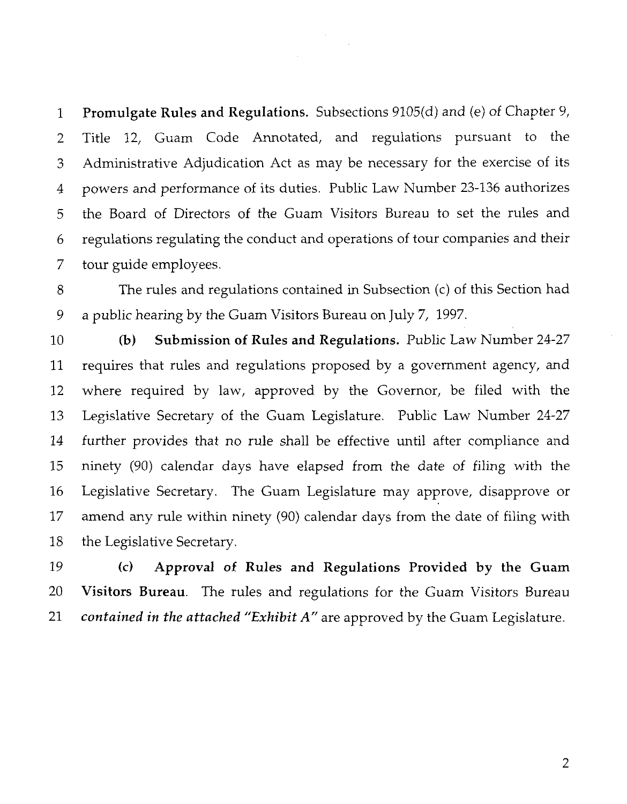**Promulgate Rules and Regulations.** Subsections 9105(d) and (e) of Chapter 9,  $\mathbf{1}$ Title 12, Guam Code Annotated, and regulations pursuant to the 2 Administrative Adjudication Act as may be necessary for the exercise of its 3 powers and performance of its duties. Public Law Number 23-136 authorizes 4 the Board of Directors of the Guam Visitors Bureau to set the rules and 5 6 regulations regulating the conduct and operations of tour companies and their 7 tour guide employees.

The rules and regulations contained in Subsection (c) of this Section had 8 9 a public hearing by the Guam Visitors Bureau on July 7, 1997.

**(b) Submission of Rules and Regulations.** Public Law Number 24-27  $10<sup>1</sup>$ 11 requires that rules and regulations proposed by a government agency, and where required by law, approved by the Governor, be filed with the 12 13 Legislative Secretary of the Guam Legislature. Public Law Number 24-27 14 further provides that no rule shall be effective until after compliance and 15 ninety (90) calendar days have elapsed from the date of filing with the 16 Legislative Secretary. The Guam Legislature may approve, disapprove or 17 amend any rule within ninety (90) calendar days from the date of filing with 18 the Legislative Secretary.

19 *(c)* **Approval of Rules and Regulations Provided by the Guam**  20 **Visitors Bureau.** The rules and regulations for the Guam Visitors Bureau 21 *contained in the attached "Exhibit A"* are approved by the Guam Legislature.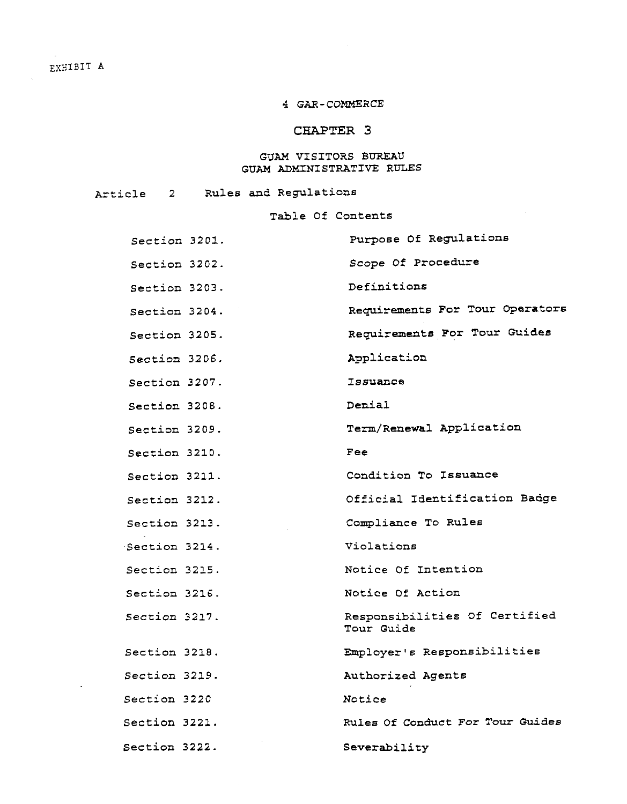# EXHIBIT A

 $\sim 10^6$ 

 $\mathbf{r}$ 

#### **4 GAR-COMMERCE**

# CHAPTER **3**

#### **GUAM VISITORS BUREAU GUAM ADMINISTRATIVE RULES**

| Article | Rules and Regulations |  |
|---------|-----------------------|--|
|---------|-----------------------|--|

#### **Table Of Contents**

| Section 3201. | Purpose Of Regulations                      |
|---------------|---------------------------------------------|
| Section 3202. | Scope Of Procedure                          |
| Section 3203. | Definitions                                 |
| Section 3204. | Requirements For Tour Operators             |
| Section 3205. | Requirements For Tour Guides                |
| Section 3206. | Application                                 |
| Section 3207. | Issuance                                    |
| Section 3208. | Denial                                      |
| Section 3209. | Term/Renewal Application                    |
| Section 3210. | Fee                                         |
| Section 3211. | Condition To Issuance                       |
| Section 3212. | Official Identification Badge               |
| Section 3213. | Compliance To Rules                         |
| Section 3214. | Violations                                  |
| Section 3215. | Notice Of Intention                         |
| Section 3216. | Notice Of Action                            |
| Section 3217. | Responsibilities Of Certified<br>Tour Guide |
| Section 3218. | Employer's Responsibilities                 |
| Section 3219. | Authorized Agents                           |
| Section 3220  | Notice                                      |
| Section 3221. | Rules Of Conduct For Tour Guides            |
| Section 3222. | Severability                                |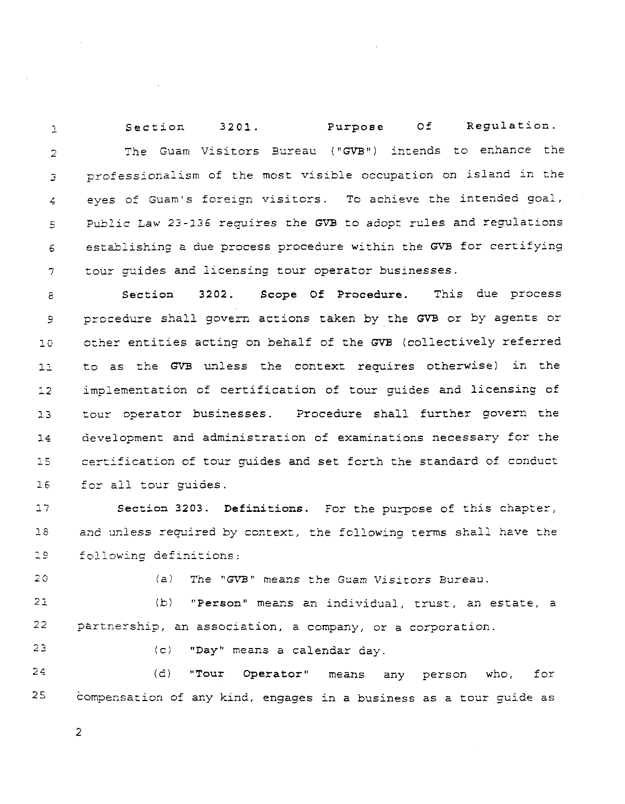Section 3201. Purpose Of Regulation.  $\mathbf{L}$ The Guam Visitors Bureau ("GVB") intends to enhance the  $\overline{z}$ professionalism of the most visible occupation on island in the  $\overline{3}$ eyes of Guam's foreign visitors. To achieve the intended goal, 4 Pujlic Law **23-136** requires the **GVB** to adopt rules and regulations  $\overline{5}$ establishing a due process procedure within the GVB for certifying  $\epsilon$ tour guides and licensing tour operator businesses. 7

Section **3202.** Scope **Of** Procedure. This due process 8 procedure shall govern actions taken by the **GVB** or by agents or 9 ocher entities acting on behalf of the GVB (collectively referred  $10$ to as the GVB unless the context requires otherwise) in the  $11$ implementation of certification of tour guides and licensing of  $\overline{1}2$ tour operator businesses. Procedure shall further govern the  $13$ development and administration of examinations necessary for the  $14$ certification of tour quides and set forth the standard of conduct  $\pm 5$ for all tour guides.  $16$ 

 $17$ Section **3203.** Definitions. For the purpose of this chapter,  $28$ and unless required by context, the following terms shall have the following definirions: 19

 $20$ 

(a) The **"GVB"** means the Guam Visicors Bureau.

 $21$ (b) "Person" means an individual, trust, an estate, a 22 partnership, an association, a company, or a corporation.

23

(c) **"Day"** means a calendar day.

24 (d) "Tour Operator" means any person who, for 25 compensation of any kind, engages in a business as a tour guide **as** 

 $\overline{c}$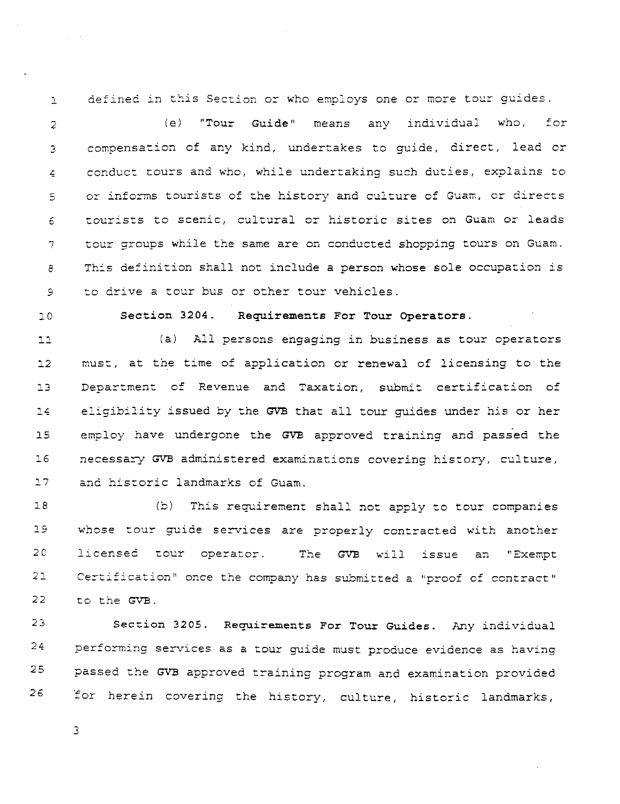defined in this Section or who employs one or more tour guides.  $\mathbbm{1}$ 

(e) <mark>"Tour Guide"</mark> means any individual who, for  $\overline{2}$ compensation of any kind, undertakes to guide, direct, lead or  $\overline{3}$ conducz tours and who, while undertaking such duties, explains to  $\overline{4}$ or informs tourists of the history and culture of Guam, or directs 5 tourists to scenic, cultural or historic sites on Guam or leads  $\epsilon$ tour groups while the same are on conducted shopping tours on Guam.  $\overline{7}$  $\sf B$ This definition shall not include a person whose sole occupation is to drive a tour bus or other tour vehicles. و

 $10$ 

**Section 3204. Requirements For Tour Operators.** 

 $11$ (a) All persons engaging in business as tour operators  $12$ must, at the time of application or renewal of licensing to the Department of Revenue and Taxation, submit certification of  $13$ eligibility issued by the GVB that all tour quides under his or her  $14$  $25$ employ nave undergone the GVB approved training and passed the  $16$ necessary GVB administered examinations covering history, culture,  $27$ and his:oric landmarks of Guam.

 $18$ (b) This requirement shall not apply to tour companies  $29$ whose tour guide services are properly contracted with another  $20$ licensed tour operator. The **GVB** will issue an "Exempt  $21$ Certification" once the company has submitted a "proof of contract" 22 to the **GVB.** 

23 **Section 3205. Requirements For Tour Guides. Any** individual 24 Performing services as a tour guide must produce evidence as having 25 passed the **GVB** approved training program and examination provided 26 for herein covering the history, culture, historic landmarks,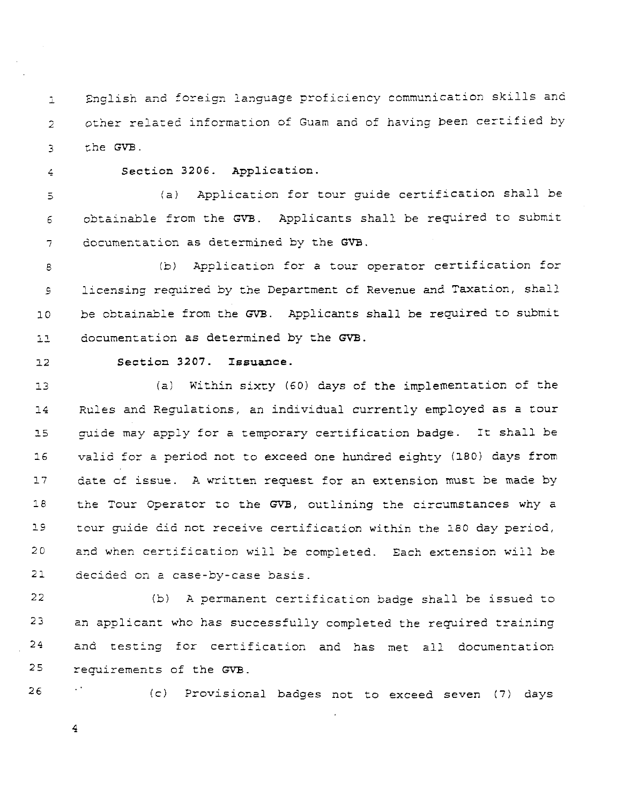English and foreign language proficiency communication skills and  $\mathbf{L}$ other related information of Guam and of having been certified by  $\tilde{z}$ the GVB.  $\mathbf{R}$ 

 $\overline{\mathcal{L}}$ 

Section **3206.** Application.

(a) Application for tour guide certification shall be  $\overline{5}$ obtainable from the **GVB.** Applicants shall be required to submit  $\epsilon$ documenLation as determine6 by the **GVB.**   $\overline{7}$ 

(b) Application for a tour operator certification for  $\mathbf{B}$ licensing required by the Department of Revenue **and** Taxation, shall  $\mathsf{G}$ be obtainable from the GVB. Applicants shall be required to submit  $10$ documentation as determined by the **GVB.**   $11$ 

 $12$ 

#### Section **3207. Issuance.**

(a) Within sixty **(60)** days of the implementation of the  $13$ Rules and Regulations, an individual currently employed as **a** tour  $14$ guide may apply for **a** temporary certification badge. It shall be  $25$  $16$ valid for a period not to exceed one hundred eighty **(180)** days from date of issue. A written request for an extension must be made by  $17$  $18$ the Tour Operator to the GVB, outlining the circumstances why a  $19$ tour guide did not receive certification within the 180 day period, 20 and when certification will be completed. Each extension will be  $21$ decided on a case-by-case basis.

22 (b) A permanent certification badge shall be issued to 23 an applicant who has successfully completed the required training 24 and resting for certification and has met all documentation 25 requirements of the GVB.

26

(c) Provisional badges not to exceed seven **(7)** days

 $\overline{4}$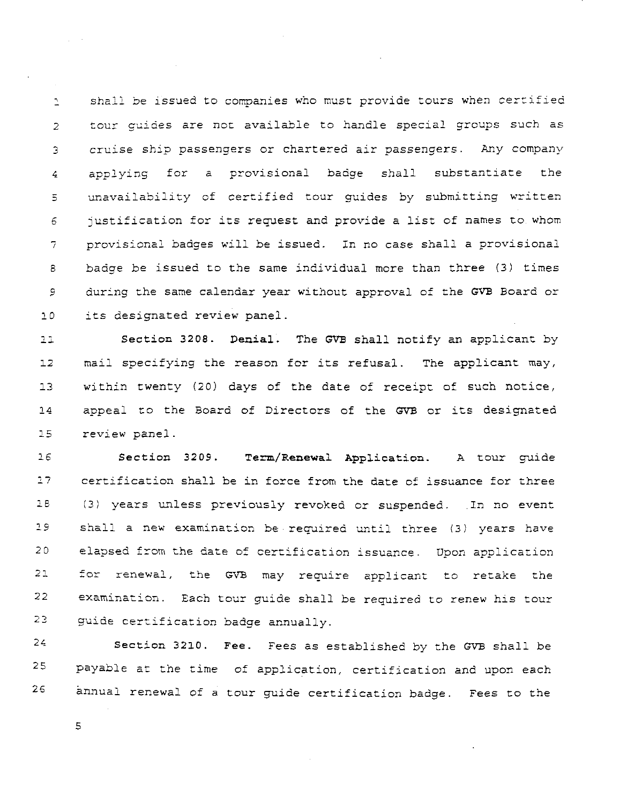shall be issued to companies who must provide tours when certified  $\mathcal{L}$ tour cuides are not available to handle special groups such as  $\tilde{z}$ cruise ship passengers or chartered air passengers. Any company  $\overline{3}$ applyins for a provisional badge shall substantiate the 4 unavailability of certified tour guides by submitting written  $\overline{5}$ justification for its request and provide a list of names to whom  $\epsilon$  $\overline{7}$ provisional badges will be issued. In no case shall a provisional  $\mathbf{B}$ badge be issued to the same individual more than three (3) times during the same calendar year without approval of the **GVB** Board or  $\mathcal{G}$  $10$ its designated review panel.

**Section 3208. Denial.** The **GVB** shall notify an applicant by  $11$ mail specifying the reason for its refusal. The applicant may,  $12$ within twenty *(20)* days of the date of receipt of such notice,  $13$ appeal to the Board of Directors of the **GVB** or its designated  $14$ review panel.  $15$ 

 $16$ **Section 3209. Term/Renewal Application. A** tour guide  $27$ certification shall be in force from the date of issuance for three  $28$ *(3)* years previously revoked or suspended. In no event  $29$ shall a new examination be requirea until three *(3)* years have elapsed from the date of certification issuance. Upon application 20  $21$ for renewal, the GVB may require applicant to retake the 22 examination. Each tour guide shall be required to renew his tour 23 guide certification badge annually.

 $24$ **Section 3210. Fee.** Fees as established by the GVB shall be 25 payable at the time of application, certification and upon each 26 annual renewal of a tour guide certification badge. Fees to the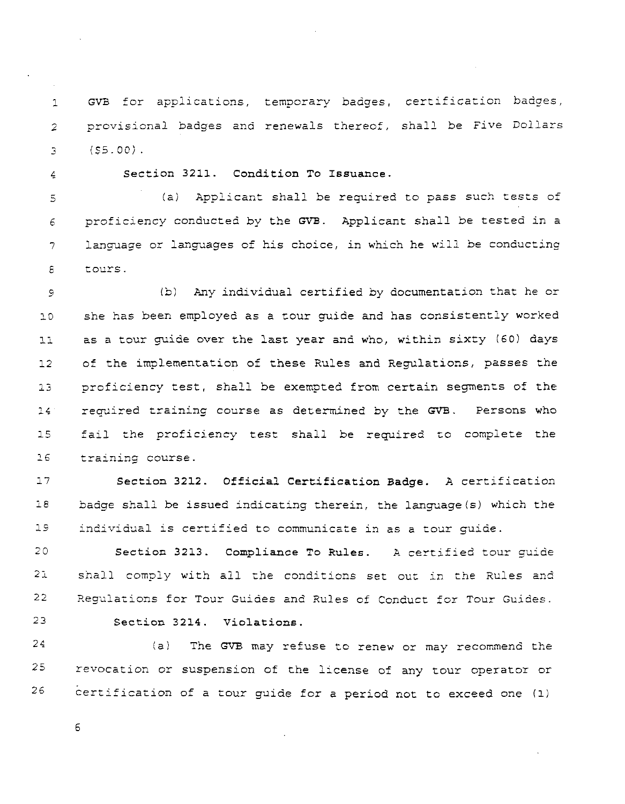**GVB** for applications, temporary badges, certification badges,  $\mathbf{1}$ provisional badges and renewals thereof, shall be Five Dollars  $\overline{2}$  $(S5.00)$ .  $\mathbb{R}$ 

 $\mathcal{L}$ 

Section **3211.** Condition To Issuance.

(a) Applicant shall be required to pass such tests of  $\overline{5}$ proficiency conducted by the **GVB.** Applicant shall be tested in a  $\epsilon$ language or languages of his choice, in which he will be conducting  $\overline{7}$  $\epsilon$ t ours.

(5) Any individual certified by documentation that he or  $\mathsf{S}$  $10$ she has been employed as a tour guide and has consistently worked as a tour guide over the last year and who, within sixty 160) days  $11$ of the implementation of these Rules and Regulations, passes the  $12$ proficiency test, shall be exempted from certain segments of the  $13$ required training course as determined by the GVB. Persons who 14 fail the proficiency test shall be required to complete the  $15$  $16$ training course.

 $17$ Section **3212.** Official Certification Badge. A certification  $2\,$   $\,$ badge shall be issued indicating therein, the language(s) which the individual is certified to communicate in as a tour guide.  $29$ 

 $20$ Section **3213.** Compliance To Rules. A certified tour guide  $21$ shall comply with all the conditions set out in the Rules and 22 Regulations for Tour Guides and Rules of Conduct for Tour Guides 23 Section **3214.** Violations.

 $24$ (a) The **GVB** may refuse to renew or may recommend the 25 revocation or suspension of the license of any tour operator or 26 certification of a tour guide for a period not to exceed one **(1)**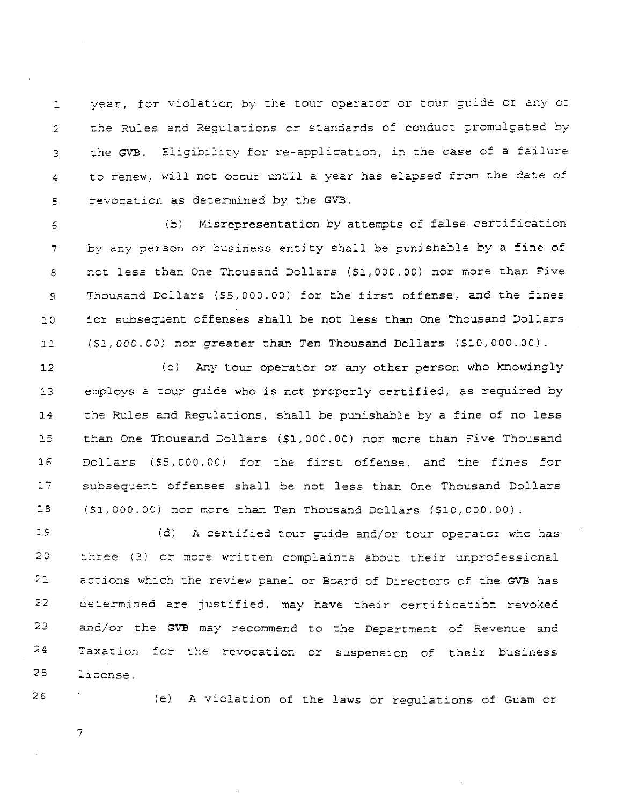year, for violation by the tour operator or tour guide of any of  $\mathbf{1}$ the Rules and Regulations or standards of conduct promulgated by  $\overline{2}$ :he **GVB.** Eligibility for re-application, in the case of a failure 3 to renew, will not occur until a year has elapsed from the date of  $\overline{4}$ revocazion as determined by the **GVB.**  5

(b) Misrepresentation by attempts of false certification 6 by any person or business entity shall be punishable by a fine of  $\overline{7}$ not less than One Thousand Dollars (\$1,000.00) nor more than Five 8 Thousand Dollars (\$5,000.00) for the first offense, and the fines  $\mathbf{S}$ for subsequent offenses shall be not less than One Thousand Dollars  $10$ **(Si,** 000.00) nor greater than Ten Thousand Dollars (Sl0,000.00) .  $71$ 

**(c)** Any tour operator or any other person who knowingly  $12$  $13$ employs a tour guide who is not properly certified, as required by  $14$ the Rules and Regulations, shall be punishable by a fine of no less than One Thousand Dollars (\$1,000.00) nor more than Five Thousand  $25$  $16$ Dollars (\$5,000.00) for the first offense, and the fines for subsequent offenses shall be not less than One Thousand Dollars  $27$  $\sqrt{2}$  8 (51,000.00) nor more than Ten Thousand Dollars (\$10,000.00).

 $19$ (d) A certified tour guide and/or tour operator who has 20 zhree *(3)* or more written complaints about their unprofessional  $21$ actions which the review panel or Board of Directors of the **GVB** has  $22$ determined are justified, may have their certification revoked 23 and/or the **GVB** may recommend to the Department of Revenue and 24 Taxation for the revocation or suspension of their business 25 license.

26

(e) A violation of the laws or regulations of Guam or

 $\overline{7}$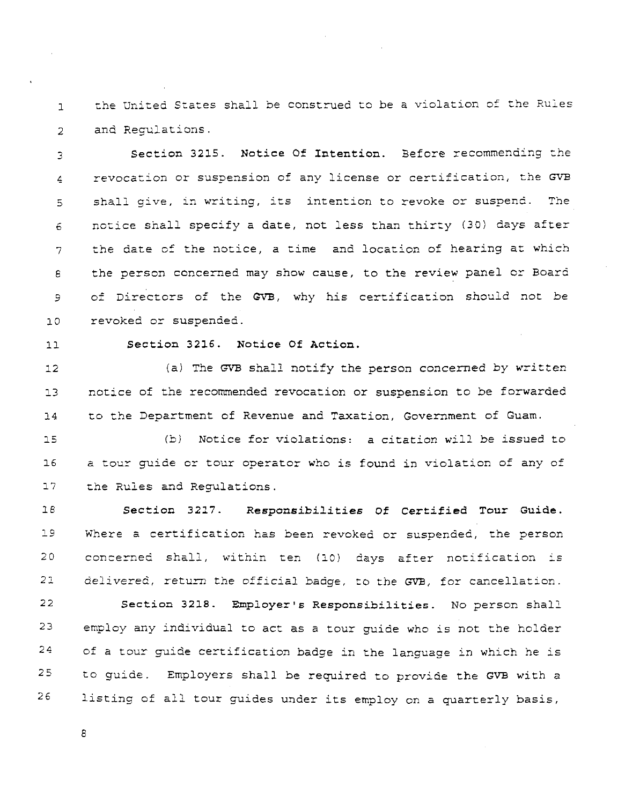the United Stazes shall be Construed to be a violation of the Rules  $\mathbf{1}$  $\overline{2}$ and Regulations.

Section **3215.** Notice **Of** Intention. Sefore recommending :he  $\overline{z}$ revocation or suspension of any license or certification, the GVB 4 shall give, in writing, its intention to revoke or suspend. The  $\overline{5}$ notice shall specify a date, not less than thirty (30) days after 6 the date of the notice, a time and location of hearing at which  $\overline{7}$ the person concened may show cause, to the review panel or Board 8 of Directors of the GVB, why his certification should not be 9 revoked or suspended.  $10$ 

 $11$ 

Section **3216.** Notice Of Action.

 $(a)$  The GVB shall notify the person concerned by written  $12$ notice of the recommended revocation or suspension to be forwarded  $13$ to the Department of Revenue and Taxation, Government of Guam.  $14$ 

ibi Notice for violations: a citation will be issued to  $15$  $16$ a tour guide or tour operator who is found in violation of any of  $17$ the Rules and Regulations.

 $18$ Section **3217.** Responsibilities of Certified Tour Guide.  $19$ Where a certification has been revoked or suspended, the person concerned shall, within ten (10) days after notification is  $20$  $21$ delivered, return the official badge, to the GVB, for cancellation. 22 Section **3218.** Employer's Responsibilities. No person shall 23 employ any individual to act as a tour guide who is not the holder 24 of a tour guide certification badge in the language in which he is 25 to guide. Employers shall be required to provide the GVB with a 26 listing of all tour guides under its employ on a quarterly basis,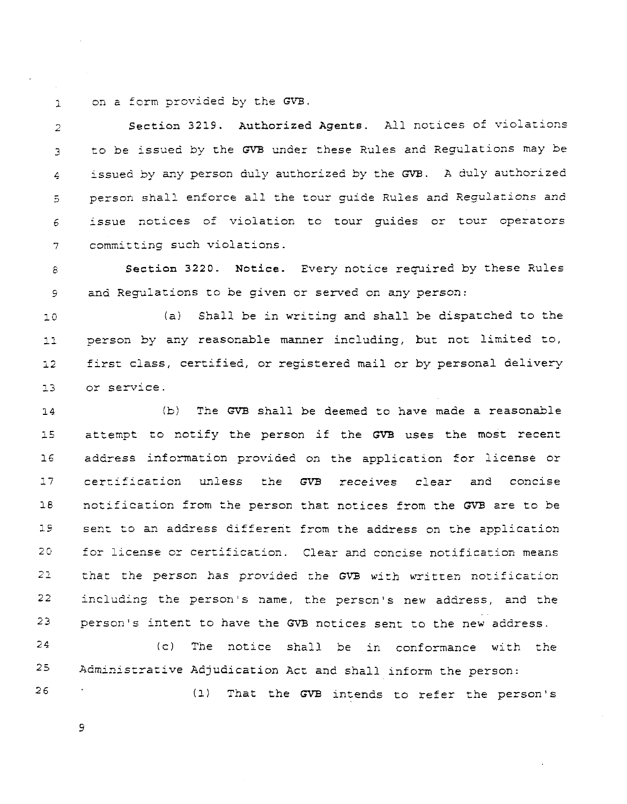on a form provided by the **GVB.**   $\mathbf{1}$ 

Section **3219.** Authorized Agents. All notices of violations  $\overline{2}$ to be issued by the GVB under these Rules and Regulations may be 3 issued by any person duly authorized by the GVB. A duly authorized  $\frac{1}{2}$ person shall enforce all the tour guide Rules and Regulations and  $\overline{5}$ issue notices of violation to tour guides or tour operators  $\epsilon$ committing such violations.  $\overline{7}$ 

Section 3220. Notice. Every notice required by these Rules 8 and Regulations to be given or served on any person:  $\mathcal{G}$ 

(a) Shall be in writing and shall be dispatched to the  $10$ person by any reasonable manner including, but not limited to,  $11$ first ciass, certified, or registered mail or by personal delivery  $22$ or service.  $13$ 

**(b)** The GVB shali be deemed to have made a reasonable  $14$ attempt to notify the person if the **GVB** uses the most recent  $25$ address information provided on the application for license or  $16$ certification unless the GVB receives clear and concise  $17$  $18$ notification from the person that notices from the GVB are to be  $19$ sent to an address different from the address on the application 20 for license or certification. Clear and concise notification means that the person has provided rhe **GYB** with written notification 22 22 including the person's name, the person's new address, and the 23 person's intent to have the GVB notices sent to the new address

24  $(c)$  The notice shall be in conformance with the 25 Administrative Adjudication Act and shall inform the person:

**(1)** That the GVB lntends to refer the person's

9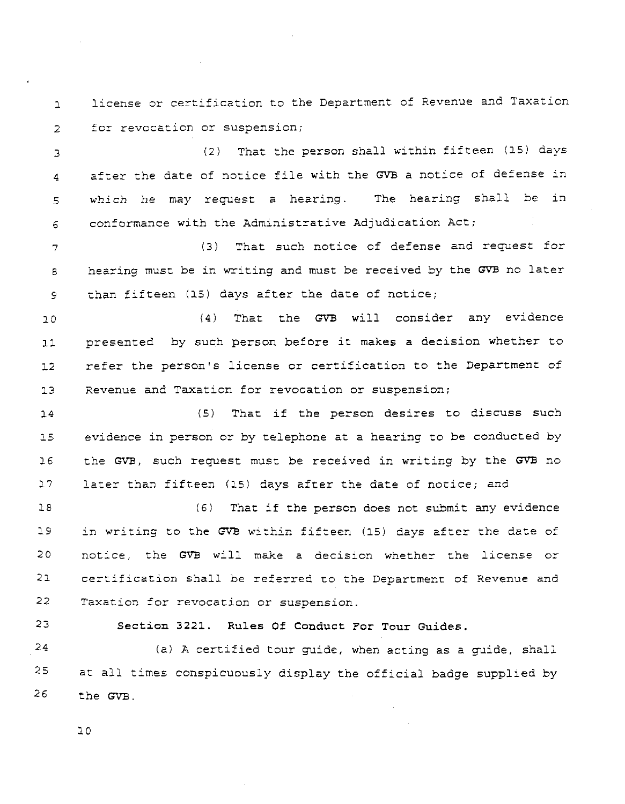license or certification to the Department of Revenue and Taxation  $\mathbf{L}$ for revocation or suspension;  $\overline{2}$ 

(2) That the person shall within fifteen (15) days  $\mathbf{R}$ after the date of notice file with the GVB a notice of defense in 4 which he may request a hearing. The hearing shall be in 5 conformance with the Administrative Adjudication Act; 6

(3) That such notice of defense and request for  $\overline{7}$ hearing must be in writing and must be received by the **GVB** no later 8 than fifteen (15) days after the date of notice;  $\mathbf{9}$ 

(4) That the GVB will consider any evidence  $20$ presented by such person before it makes a decision whether to  $11$  $12$ refer the person's license or certification to the Department of Revenue and Taxation for revocation or suspension;  $13$ 

**(5)** That if the person desires to discuss such  $14$ evidence in person or by telephone at a hearing to be conducted by  $25$  $16$ the **GVB,** such request must be received in writing by the GVB no  $17$ later than fifteen **(15)** days after the date of notice; and

 $18$ (6) That if the person does not submit any evidence 19 in writing to the **GVB** wizhin fifteen (15) days after the date of 20 notice, the GVB will make a decision whether the license or  $21$ certification shall be referred to the Department of Revenue and Taxation for revocation or suspension.  $22$ 

23

Section **3221.** Rules **Of** Conduct For Tour Guides.

24 (a) A certified tour guide, when acting as a guide, shall 25 at a11 times conspicuously display the official badge supplied by  $26$ the GVB.

ם ב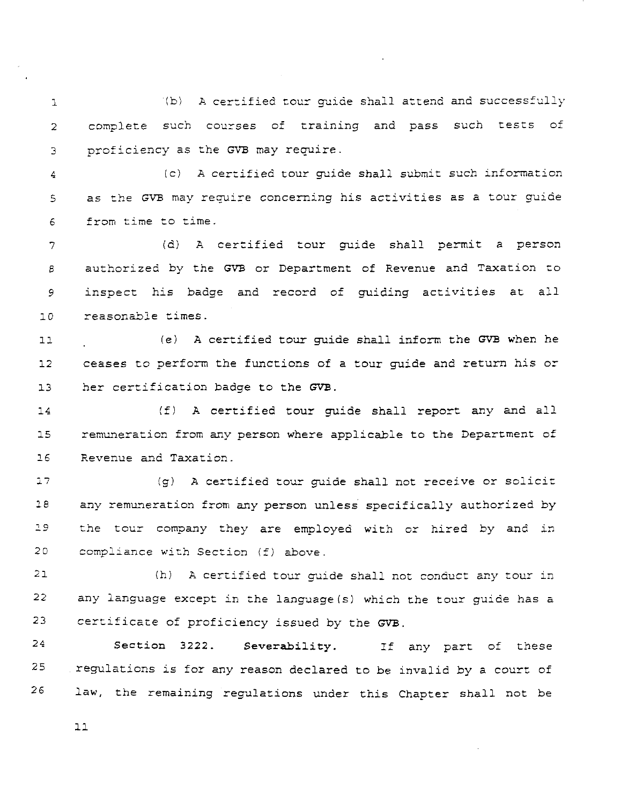$\mathcal{L}(b)$  A certified tour quide shall attend and successfully  $\mathbf{L}$ complete such courses of training and pass such tests of  $\overline{2}$ prociciency as the **GVB** may require.  $\mathbf{B}$ 

ic) A certified tour guide shall submit such information  $\overline{a}$ as the GVB may require concerning his activities as a tour guide 5 from time to time. 6

id) A certified tour guide shall permit a person  $\overline{7}$ authorized by the **GVB** or Department of Revenue and Taxation Co  $\beta$ inspect his badge and record of guiding activities at all 9  $10$ reasonable times.

(e) A certified tour guide shall inform the GVB when he  $1\,1$ ceases to perform the functions of a tour guide and return his or  $12$  $13$ her certification badge to the GVB.

(f) A certified tour guide shall report any and all  $14$  $15$ remuneration from any person where applicable to the Department of Revenue and Taxation.  $26$ 

 $17$ (g) A certified tour guide shall not receive or solici:  $18$ any remuneration from any person unless specifically authorized by  $29$ the tour company they are employed with or hired by and in 20 compliance wirh Section (f) above.

 $21$ (h) **A** certified tour guide shall not conduct any tour in 22 any language except in the language(s) which the tour guide has a 23 certificate of proficiency issued by the GVB.

 $24$ Section **3222. Severability.** If any part of these 25 regulations is for any reason declared to be invalid by a court of 26 law, the remaining regulations under this Chapter shall not be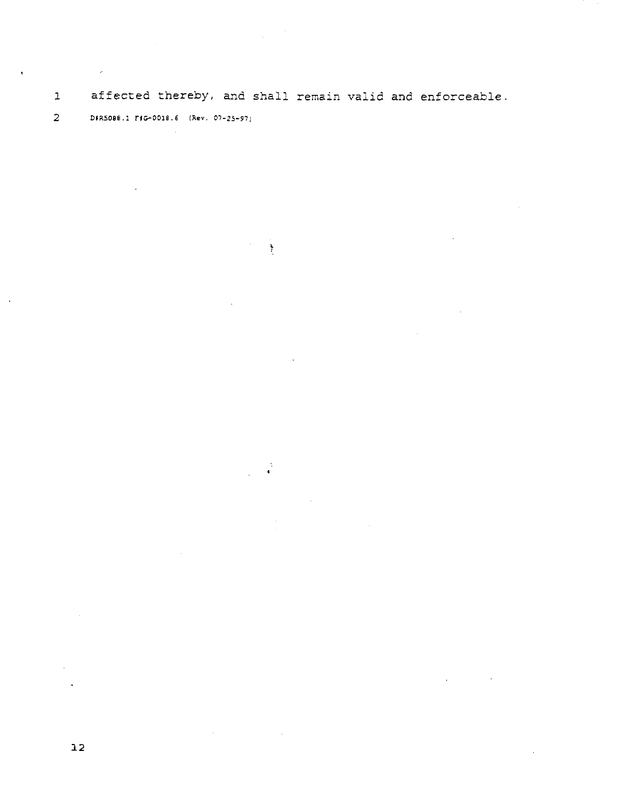1 affected thereby, and shall remain valid and enforceable

 $\frac{1}{l}$ 

 $\frac{1}{2} \left( \frac{1}{2} \right)^2$ 

 $\sim$   $\sim$ 

 $\sim 10^7$ 

 $\sim 10$ 

 $\sim 10$ 

 $\mathcal{L}^{\text{max}}$ 

 $\sim$   $\sim$ 

**2 DlR508B.l TlGDOlB.6 (Rev. 01-25-97,** 

 $\langle \rangle$ 

 $\label{eq:2.1} \frac{1}{\sqrt{2}}\int_{\mathbb{R}^3} \frac{1}{\sqrt{2}}\left(\frac{1}{\sqrt{2}}\right)^2\left(\frac{1}{\sqrt{2}}\right)^2\left(\frac{1}{\sqrt{2}}\right)^2\left(\frac{1}{\sqrt{2}}\right)^2.$ 

 $\bar{\mathbf{r}}$ 

 $\bar{z}$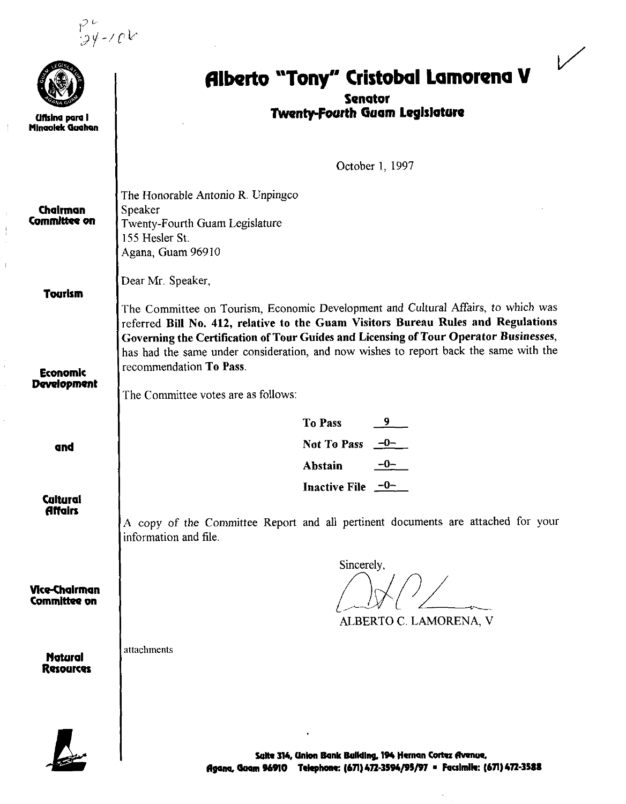$\frac{p}{(24-10)^2}$ 



Ufisina para l Minaclek Gaahan

 $\begin{array}{c} \begin{array}{c} \begin{array}{c} \end{array} \end{array} \end{array}$ 

 $\bar{1}$ 

# **fllberto "Tony" Cristobal lamorena V** I/

# **Senator Twenty-Fourth Guam Leghlature**

October 1, 1997

| Chairman<br>Committee on           | The Honorable Antonio R. Unpingco<br>Speaker<br>Twenty-Fourth Guam Legislature<br>155 Hesler St.<br>Agana, Guam 96910                                                                                                                                                                |
|------------------------------------|--------------------------------------------------------------------------------------------------------------------------------------------------------------------------------------------------------------------------------------------------------------------------------------|
| <b>Tourism</b>                     | Dear Mr. Speaker,<br>The Committee on Tourism, Economic Development and Cultural Affairs, to which was<br>referred Bill No. 412, relative to the Guam Visitors Bureau Rules and Regulations<br>Governing the Certification of Tour Guides and Licensing of Tour Operator Businesses, |
| <b>Economic</b><br>Development     | has had the same under consideration, and now wishes to report back the same with the<br>recommendation To Pass.<br>The Committee votes are as follows:                                                                                                                              |
|                                    | To Pass<br>- 9 -                                                                                                                                                                                                                                                                     |
| and                                | Not To Pass $-0$                                                                                                                                                                                                                                                                     |
|                                    | $-0-$<br><b>Abstain</b>                                                                                                                                                                                                                                                              |
| <b>Caltaral</b><br><b>Affairs</b>  | Inactive File $-0$ -<br>A copy of the Committee Report and all pertinent documents are attached for your                                                                                                                                                                             |
|                                    | information and file.                                                                                                                                                                                                                                                                |
| Vice-Chairman<br>Committee on      | Sincerely,<br>ALBERTO C. LAMORENA, V                                                                                                                                                                                                                                                 |
| <b>Natural</b><br><b>Resources</b> | attachments                                                                                                                                                                                                                                                                          |
|                                    | Saite 314, Union Bank Bailding, 194 Hernan Cortez Avenue,<br>$17.711$ $1.77$ $30.88$                                                                                                                                                                                                 |

k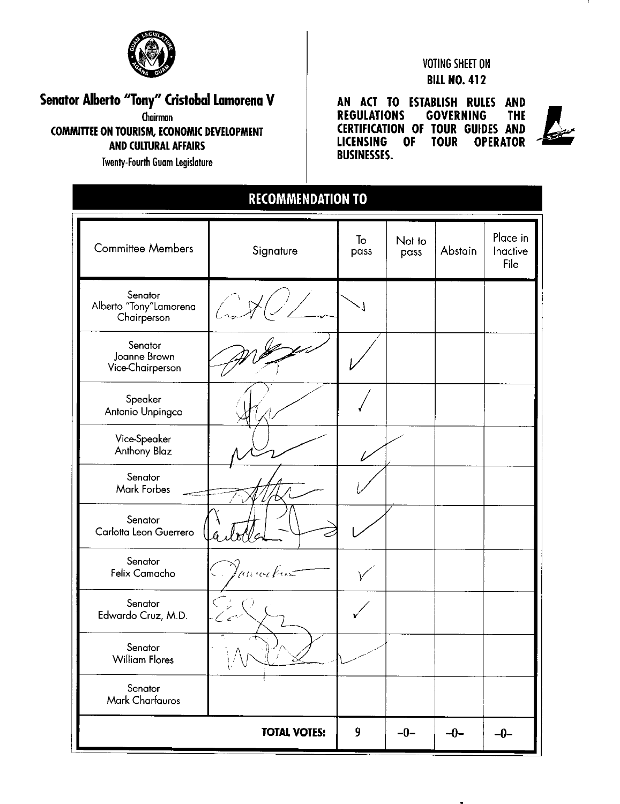

# **Senator Alberto "Tony" Cristobal Lamorena V**

**oloirmon** 

**COMMITTEE ON TOURISM, ECONOMIC DEVELOPMENT AND CULTURAL AFFAIRS** 

**Twenty-Fourfh Guam legislature** 

# **VOTING SHEET ON BILL NO. 412**

 $\bullet$ 

**AN ACT TO ESTABLISH RULES AND REGULATIONS CERTIFICATION OF TOUR GUIDES AND LICENSING OF TOUR BUSINESSES.** 



| <b>RECOMMENDATION TO</b>                         |                     |            |                |         |                              |  |
|--------------------------------------------------|---------------------|------------|----------------|---------|------------------------------|--|
| <b>Committee Members</b>                         | Signature           | То<br>pass | Not to<br>pass | Abstain | Place in<br>Inactive<br>File |  |
| Senator<br>Alberto "Tony"Lamorena<br>Chairperson |                     |            |                |         |                              |  |
| Senator<br>Joanne Brown<br>Vice-Chairperson      |                     |            |                |         |                              |  |
| Speaker<br>Antonio Unpingco                      |                     |            |                |         |                              |  |
| Vice-Speaker<br>Anthony Blaz                     |                     |            |                |         |                              |  |
| Senator<br>Mark Forbes                           |                     |            |                |         |                              |  |
| Senator<br>Carlotta Leon Guerrero                |                     |            |                |         |                              |  |
| Senator<br>Felix Camacho                         | mocku               |            |                |         |                              |  |
| Senator<br>Edwardo Cruz, M.D.                    |                     |            |                |         |                              |  |
| Senator<br><b>William Flores</b>                 | ా<br>V              |            |                |         |                              |  |
| Senator<br>Mark Charfauros                       |                     |            |                |         |                              |  |
|                                                  | <b>TOTAL VOTES:</b> | 9          | $-0-$          | $-0-$   | $-0-$                        |  |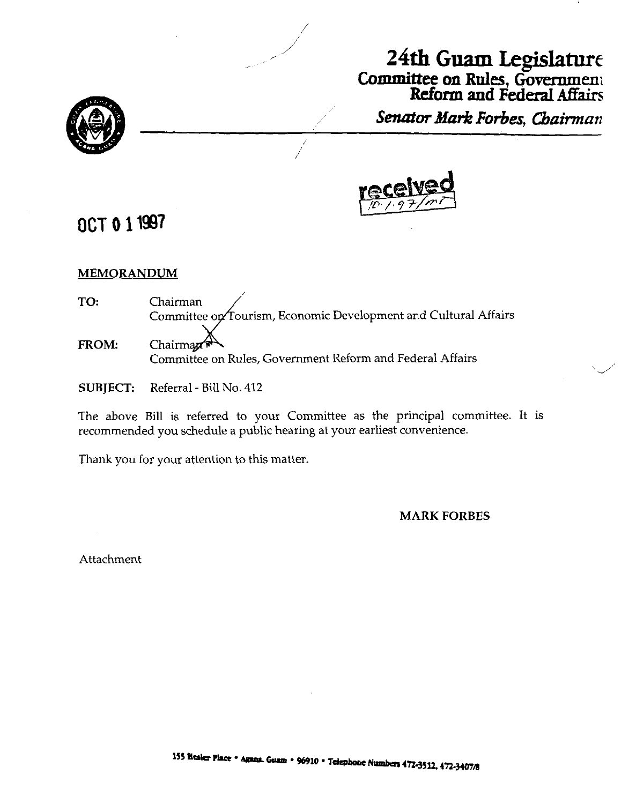# , / **24th Guam** Legislature , **Committee on Rules,** Gomen; **Reform and Federal** AEairs

**Senator Mark Forbes, Chairman** 

L'





# **OCT 0 1** 1987

# **MEMORANDUM**

| TO:          | Chairman<br>Committee on Tourism, Economic Development and Cultural Affairs |
|--------------|-----------------------------------------------------------------------------|
|              |                                                                             |
|              |                                                                             |
| <b>FROM:</b> | Chairman <sup>t</sup>                                                       |
|              | Committee on Rules, Government Reform and Federal Affairs                   |

/ /

**SUBJECT:** Referral - Bill No. 412

The above Bill is referred to your Committee as the principal committee. It is recommended you schedule a public hearing at your earliest convenience.

Thank you for your attention to this matter.

**MARK FORBES** 

Attachment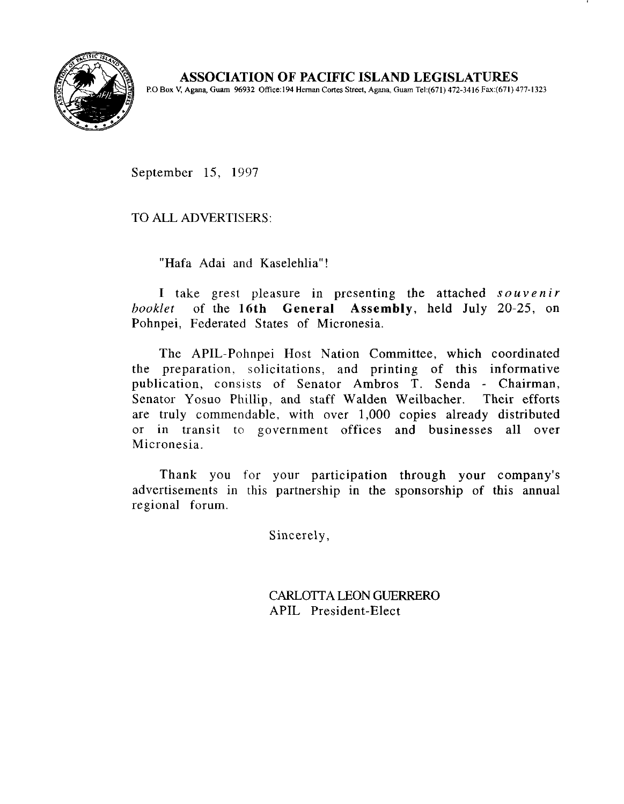

**ASSOCIATION OF PACIFIC ISLAND LEGISLATURES**  PO **Box V, Agana, Guam** 96932 Office:l94 **Heman** Cones Street, **Aganq** Guam Tel:(671) 472-3416 Fax:(671) 477-1323

September 15, 1997

TO ALL ADVERTISERS:

"Hafa Adai and Kaselehlia"!

I take grest pleasure in presenting the attached **souvenir**  *booklet* of the **16th General Assembly,** held July 20-25, on Pohnpei, Federated States of Micronesia.

The APIL-Pohnpei Host Nation Committee, which coordinated the preparation, solicitations, and printing of this informative publication, consists of Senator Ambros T. Senda - Chairman, Senator Yosuo Phillip, and staff Walden Weilbacher. Their efforts are truly commendable, with over 1,000 copies already distributed or in transit to government offices and businesses all over Micronesia.

Thank you for your participation through your company's advertisements in this partnership in the sponsorship of this annual regional forum.

Sincerely,

CARLOTTA LEON **GUERRERO**  APIL President-Elect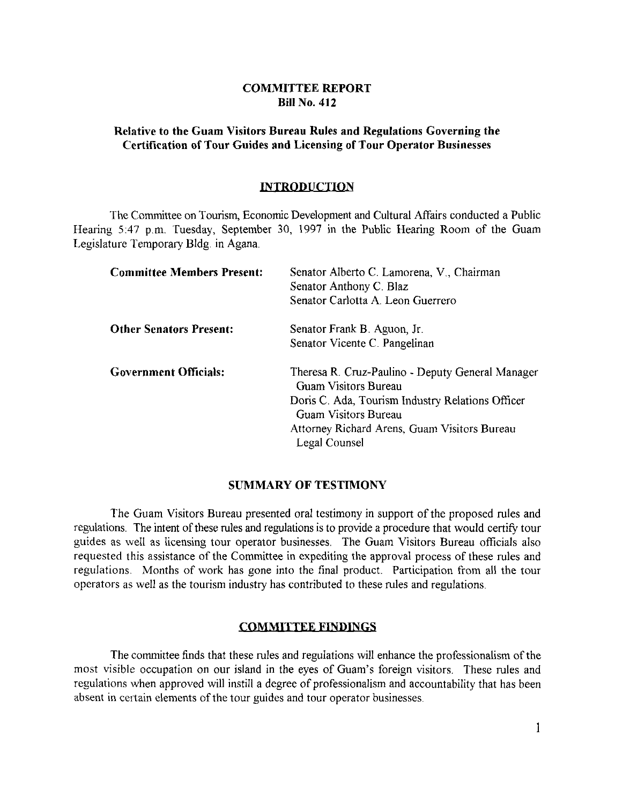## **COMMITTEE REPORT Bill No. 412**

# **Relative to the Guam Visitors Bureau Rules and Regulations Governing the Certification of Tour Guides and Licensing of Tour Operator Businesses**

#### INTRODUCTION

The Committee on Tourism, Economic Development and Cultural Atlairs conducted a Public Hearing 5:47 p.m. Tuesday, September 30, 1997 in the Public Hearing Room of the Guam Legislature Temporary Bldg, in Agana.

| <b>Committee Members Present:</b> | Senator Alberto C. Lamorena, V., Chairman<br>Senator Anthony C. Blaz<br>Senator Carlotta A. Leon Guerrero                                                                                                             |
|-----------------------------------|-----------------------------------------------------------------------------------------------------------------------------------------------------------------------------------------------------------------------|
| <b>Other Senators Present:</b>    | Senator Frank B. Aguon, Jr.<br>Senator Vicente C. Pangelinan                                                                                                                                                          |
| <b>Government Officials:</b>      | Theresa R. Cruz-Paulino - Deputy General Manager<br>Guam Visitors Bureau<br>Doris C. Ada, Tourism Industry Relations Officer<br>Guam Visitors Bureau<br>Attorney Richard Arens, Guam Visitors Bureau<br>Legal Counsel |

## **SUMMARY OF TESTIMONY**

The Guam Visitors Bureau presented oral testimony in support of the proposed rules and regulations. The intent of these rules and regulations is to provide a procedure that would certify tour guides as well as licensing tour operator businesses. The Guam Visitors Bureau officials also requested this assistance of the Committee in expediting the approval process of these rules and regulations. Months of work has gone into the final product. Participation from all the tour operators as well as the tourism industry has contributed to these rules and regulations.

#### **COMMITTEE FINDINGS**

The committee finds that these rules and regulations will enhance the professionalism of the most visible occupation on our island in the eyes of Guam's foreign visitors. These rules and regulations when approved will instill a degree of professionalism and accountability that has been absent in certain elements of the tour guides and tour operator businesses.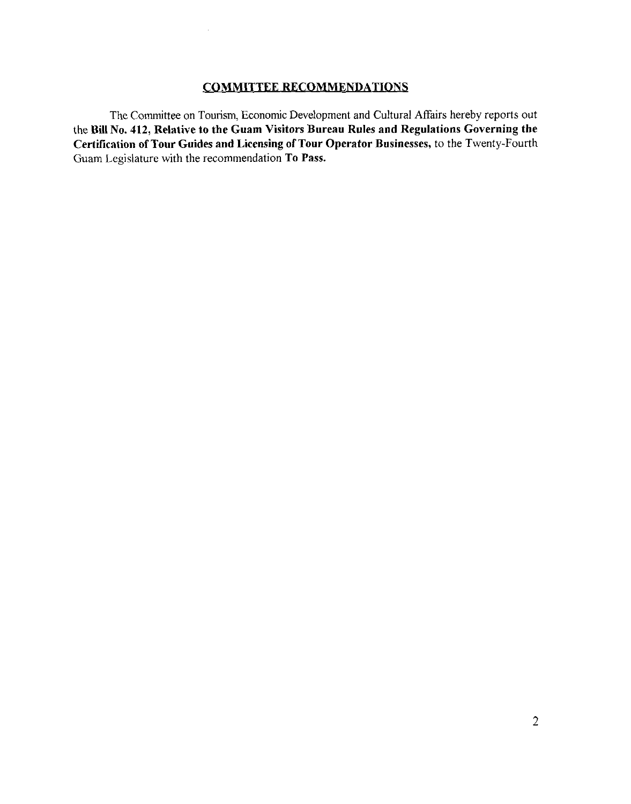# **COMMITTEE RECOMMENDATIONS**

 $\mathcal{A}$ 

The Committee on Tourism, Economic Development and Cultural Affairs hereby reports out the **Bill No.** 412, **Relative to the Guam Visitors Bureau Rules and Regulations Governing the Certification of Tour Guides and Licensing of Tour Operator Businesses,** to the Twenty-Fourth Guam Legislature with the recommendation **To Pass.**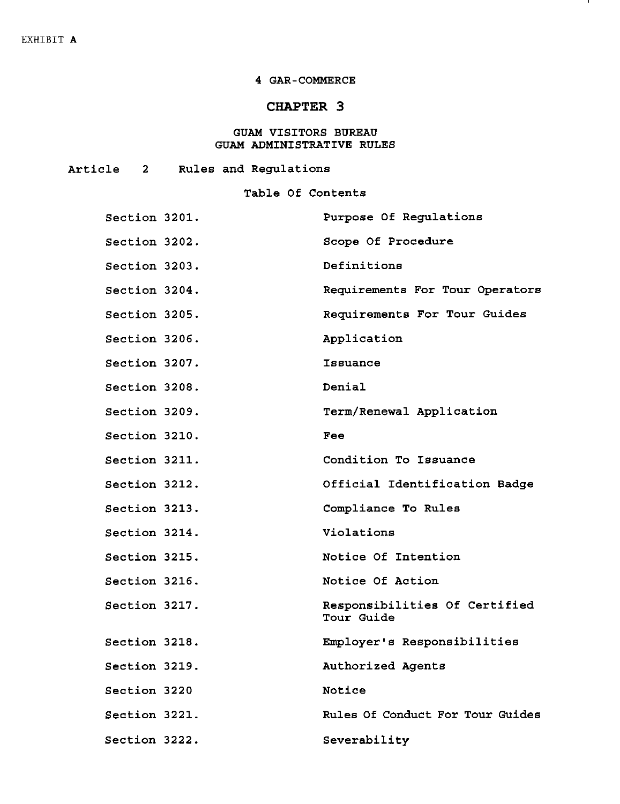#### **4 GAR-COMMERCE**

л.

# **CHAPTER 3**

#### **GUAM VISITORS BUREAU GUAM ADMINISTRATIVE RULES**

**Article 2 Rules and Regulations** 

### **Table Of Contents**

| Section 3201. | Purpose Of Regulations                      |
|---------------|---------------------------------------------|
| Section 3202. | Scope Of Procedure                          |
| Section 3203. | Definitions                                 |
| Section 3204. | Requirements For Tour Operators             |
| Section 3205. | Requirements For Tour Guides                |
| Section 3206. | Application                                 |
| Section 3207. | Issuance                                    |
| Section 3208. | Denial                                      |
| Section 3209. | Term/Renewal Application                    |
| Section 3210. | Fee                                         |
| Section 3211. | Condition To Issuance                       |
| Section 3212. | Official Identification Badge               |
| Section 3213. | Compliance To Rules                         |
| Section 3214. | Violations                                  |
| Section 3215. | Notice Of Intention                         |
| Section 3216. | Notice Of Action                            |
| Section 3217. | Responsibilities Of Certified<br>Tour Guide |
| Section 3218. | Employer's Responsibilities                 |
| Section 3219. | Authorized Agents                           |
| Section 3220  | Notice                                      |
| Section 3221. | Rules Of Conduct For Tour Guides            |
| Section 3222. | Severability                                |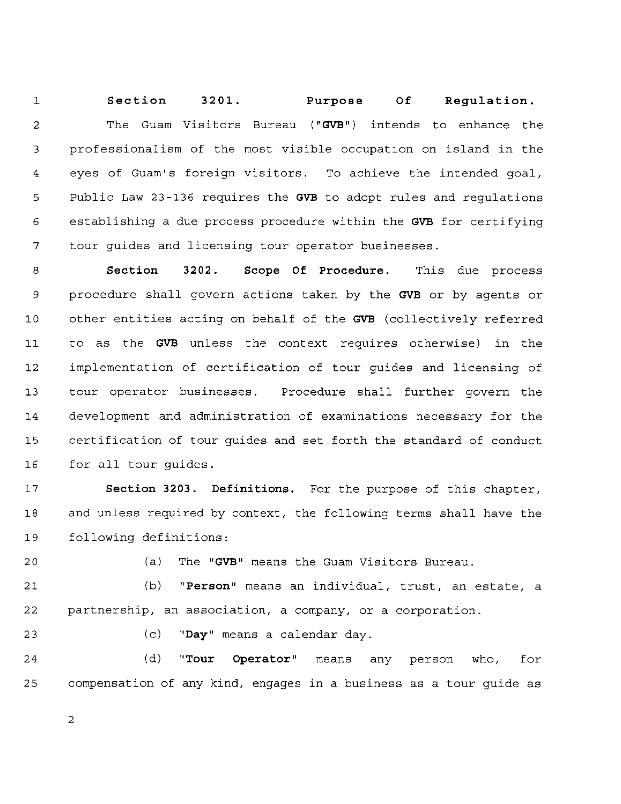$\mathbf 1$ Section 3201. Purpose Of Regulation. The Guam Visitors Bureau ("GVB") intends to enhance the  $\overline{a}$ professionalism of the most visible occupation on island in the  $\overline{3}$  $\overline{4}$ eyes of Guam's foreign visitors. To achieve the intended goal, Public Law 23-136 requires the GVB to adopt rules and regulations 5 6 establishing a due process procedure within the GVB for certifying  $7\phantom{.}$ tour guides and licensing tour operator businesses.

 $\mathbf{8}$ **Section 3202. Scope Of Procedure.** This due process procedure shall govern actions taken by the GVB or by agents or 9 other entities acting on behalf of the GVB (collectively referred  $10$  $11$ to as the GVB unless the context requires otherwise) in the implementation of certification of tour guides and licensing of  $12$  $13$ tour operator businesses. Procedure shall further govern the development and administration of examinations necessary for the  $14$  $15$ certification of tour guides and set forth the standard of conduct for all tour guides.  $16$ 

**Section 3203. Definitions.** For the purpose of this chapter,  $17$ 18 and unless required by context, the following terms shall have the 19 following definitions:

 $20$ 

23

(a) The "GVB" means the Guam Visitors Bureau.

 $21$ (b) **"Person"** means an individual, trust, an estate, a 22 partnership, an association, a company, or a corporation.

(c) **"Day"** means a calendar day.

24 (d) **"Tour Operator"** means any person who, for 25 compensation of any kind, engages in a business as a tour guide as

 $\overline{2}$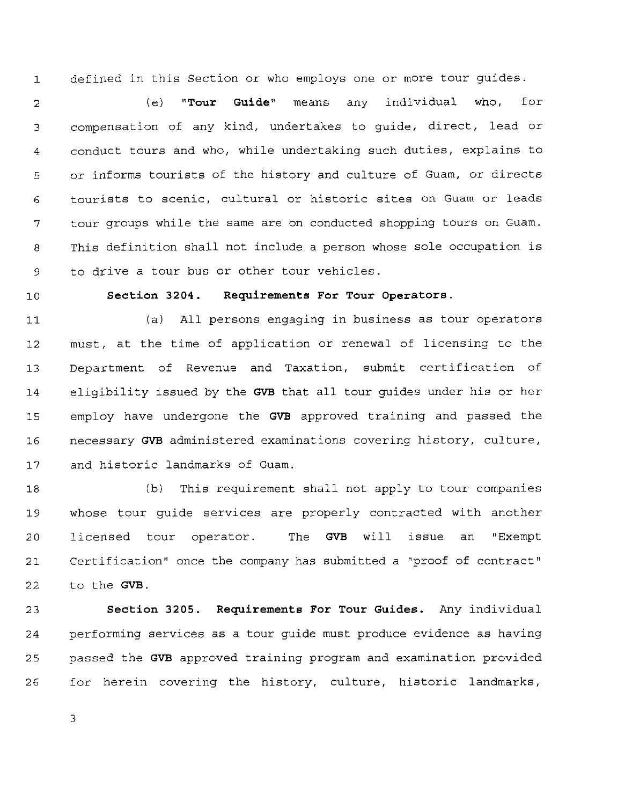$\mathbf{1}$ defined in this Section or who employs one or more tour guides.

(e) **"Tour Guide"** means any individual who, for  $\overline{a}$ compensation of any kind, undertakes to guide, direct, lead or 3 conduct tours and who, while undertaking such duties, explains to  $\overline{4}$ or informs tourists of the history and culture of Guam, or directs 5 tourists to scenic, cultural or historic sites on Guam or leads  $\overline{6}$ tour groups while the same are on conducted shopping tours on Guam.  $\overline{7}$ This definition shall not include a person whose sole occupation is 8 to drive a tour bus or other tour vehicles. 9

 $10$ 

#### **Section 3204. Requirements For Tour Operators.**

(a) All persons engaging in business as tour operators  $11$ must, at the time of application or renewal of licensing to the  $12$ Department of Revenue and Taxation, submit certification of  $13$ eligibility issued by the **GVB** that all tour guides under his or her  $14$ employ have undergone the **GVB** approved training and passed the 15  $16$ necessary **GVB** administered examinations covering history, culture,  $17$ and historic landmarks of Guam.

ib) This requirement shall not apply to tour companies  $18$ 19 whose tour guide services are properly contracted with another 20 licensed tour operator. The **GVB** will issue an "Exempt Certification" once the company has submitted a "proof of contract"  $21$ to the **GVB.**  22

23 **Section 3205. Requirements For Tour Guides.** Any individual performing services as a tour guide must produce evidence as having 24 passed the **GVB** approved training program and examination provided 25 for herein covering the history, culture, historic landmarks, 26

 $\overline{3}$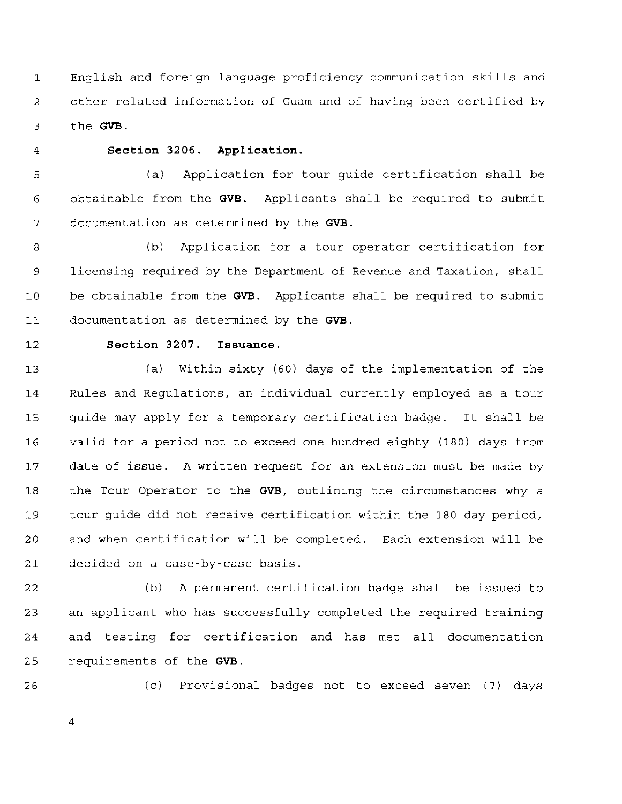English and foreign language proficiency communication skills and  $\mathbf{1}$ other related information of Guam and of having been certified by  $\overline{2}$  $\overline{3}$ the **GVB.** 

 $\overline{4}$ 

#### **Section 3206. Application.**

(a) Application for tour guide certification shall be 5 obtainable from the **GVB.** Applicants shall be required to submit  $6 \overline{6}$ documentation as determined by the **GVB.**  7

(b) Application for a tour operator certification for 8 licensing required by the Department of Revenue and Taxation, shall  $\overline{9}$  $10$ be obtainable from the **GVB.** Applicants shall be required to submit documentation as determined by the **GVB.**   $11$ 

 $12$ 

#### **Section 3207. Issuance.**

(a) Within sixty (60) days of the implementation of the  $13$ 14 Rules and Regulations, an individual currently employed as a tour guide may apply for a temporary certification badge. It shall be 15 valid for a period not to exceed one hundred eighty (180) days from  $16$ 17 date of issue. A written request for an extension must be made by the Tour Operator to the **GVB,** outlining the circumstances why a  $18$ tour guide did not receive certification within the 180 day period,  $19$ and when certification will be completed. Each extension will be 20  $21$ decided on a case-by-case basis.

22 (b) A permanent certification badge shall be issued to 23 an applicant who has successfully completed the required training and testing for certification and has met all documentation 24 requirements of the **GVB.**  25

26

(c) Provisional badges not to exceed seven (7) days

 $\overline{4}$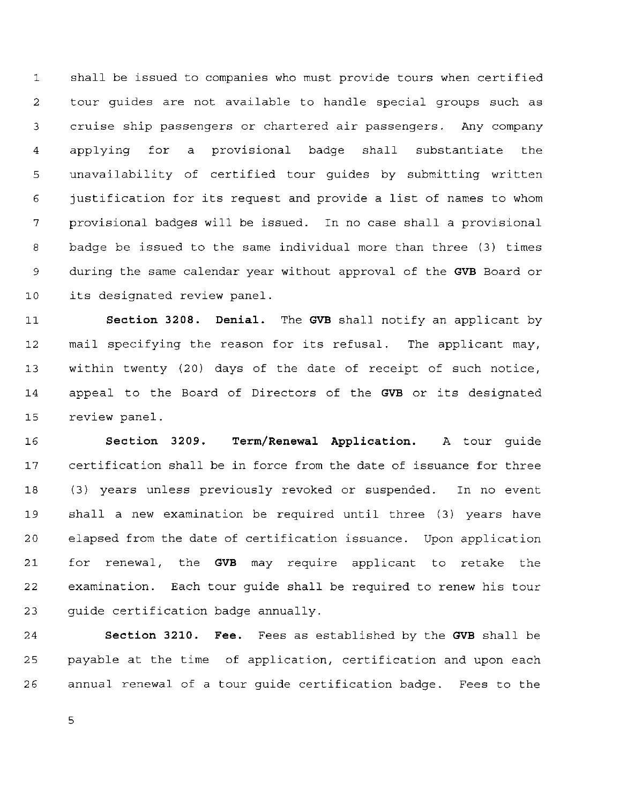$\mathbf 1$ shall be issued to companies who must provide tours when certified tour guides are not available to handle special groups such as  $\overline{a}$ 3 cruise ship passengers or chartered air passengers. Any company applying for a provisional badge shall substantiate the  $\overline{4}$ unavailability of certified tour guides by submitting written 5 justification for its request and provide a list of names to whom 6 provisional badges will be issued. In no case shall a provisional  $\overline{7}$ 8 badge be issued to the same individual more than three (3) times during the same calendar year without approval of the **GVB** Board or 9  $10$ its designated review panel.

**Section 3208. Denial.** The **GVB** shall notify an applicant by  $11$ mail specifying the reason for its refusal. The applicant may,  $12$ within twenty (20) days of the date of receipt of such notice,  $13$ appeal to the Board of Directors of the **GVB** or its designated 14 review panel.  $15$ 

16 **Section 3209. Term/Renewal Application. A** tour guide certification shall be in force from the date of issuance for three  $17$ (3) years unless previously revoked or suspended. In no event  $18$ 19 shall a new examination be required until three (3) years have 20 elapsed from the date of certification issuance. Upon application 21 for renewal, the **GVB** may require applicant to retake the examination. Each tour guide shall be required to renew his tour 22 23 guide certification badge annually.

24 **Section 3210. Fee.** Fees as established by the **GVB** shall be payable at the time of application, certification and upon each 25 annual renewal of a tour guide certification badge. Fees to the 26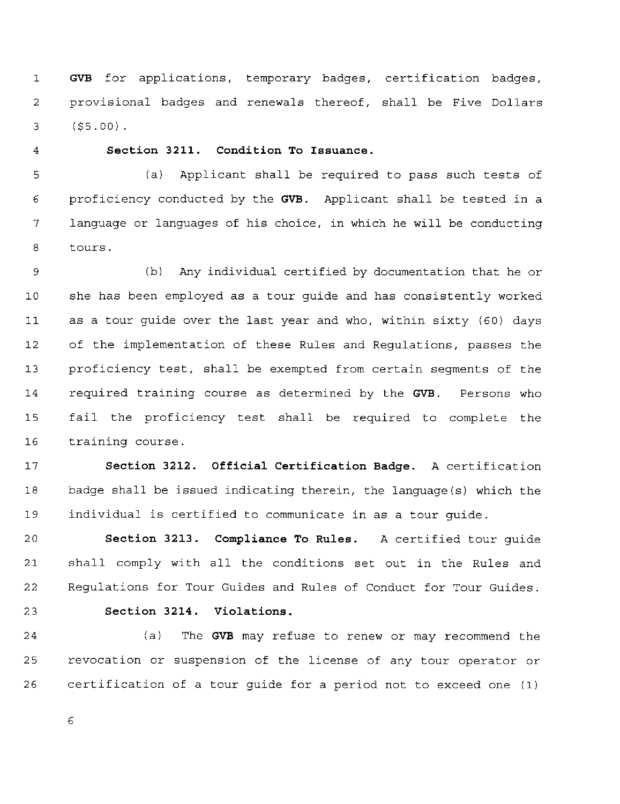**GVB** for applications, temporary badges, certification badges,  $\mathbf{1}$ provisional badges and renewals thereof, shall be Five Dollars  $\overline{2}$ 3  $(55.00)$ .

 $\overline{4}$ 

#### **Section 3211. Condition To Issuance.**

5 (a) Applicant shall be required to pass such tests of 6 proficiency conducted by the **GVB.** Applicant shall be tested in a  $\overline{7}$ language or languages of his choice, in which he will be conducting  $\boldsymbol{8}$ tours.

 $\overline{9}$ (b) Any individual certified by documentation that he or  $10$ she has been employed as a tour guide and has consistently worked as a tour guide over the last year and who, within sixty (60) days  $11$ of the implementation of these Rules and Regulations, passes the  $12$ proficiency test, shall be exempted from certain segments of the  $13$ required training course as determined by the **GVB.** Persons who  $14$ 15 fail the proficiency test shall be required to complete the 16 training course

 $17$ **Section 3212. Official Certification Badge.** A certification  $18$ badge shall be issued indicating therein, the language(s) which the 19 individual is certified to communicate in as a tour guide.

**Section 3213. Compliance To Rules. A** certified tour guide 20 21 shall comply with all the conditions set out in the Rules and Regulations for Tour Guides and Rules of Conduct for Tour Guides. 22

23

**Section 3214. Violations.** 

24 (a) The **GVB** may refuse to renew or may recommend the revocation or suspension of the license of any tour operator or 25 certification of a tour guide for a period not to exceed one (1) 26

 $\epsilon$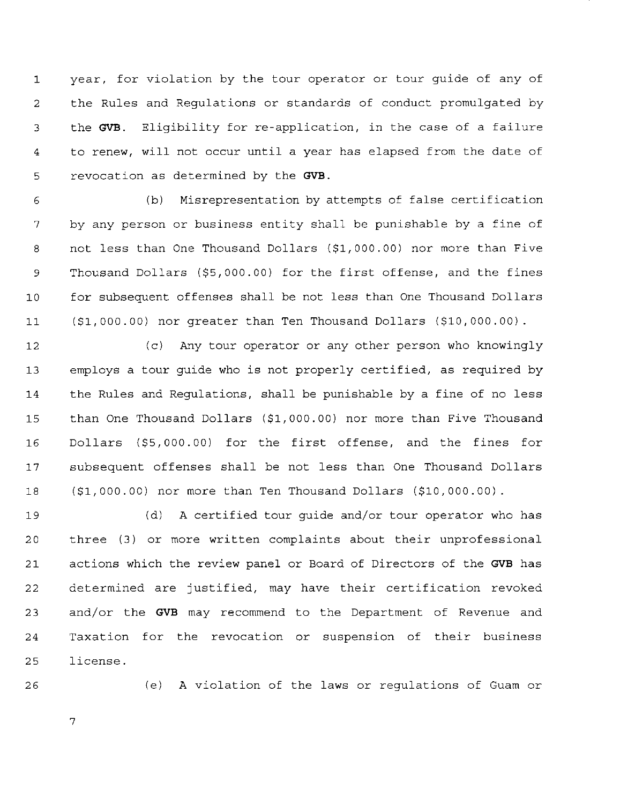year, for violation by the tour operator or tour guide of any of  $\mathbf{1}$ the Rules and Regulations or standards of conduct promulgated by 2 the **GVB.** Eligibility for re-application, in the case of a failure  $\overline{3}$ to renew, will not occur until a year has elapsed from the date of  $\overline{4}$ revocation as determined by the **GVB.**  5

(b) Misrepresentation by attempts of false certification  $\epsilon$ by any person or business entity shall be punishable by a fine of  $\overline{\mathcal{I}}$ not less than One Thousand Dollars (\$1,000.00) nor more than Five 8 Thousand Dollars (\$5,000.00) for the first offense, and the fines 9 for subsequent offenses shall be not less than One Thousand Dollars  $10$ (\$1,000.00) nor greater than Ten Thousand Dollars (\$10,000.00).  $11$ 

 $12$ (c) Any tour operator or any other person who knowingly employs a tour guide who is not properly certified, as required by  $13$ the Rules and Regulations, shall be punishable by a fine of no less  $14$ 15 than One Thousand Dollars (\$1,000.00) nor more than Five Thousand Dollars (\$5,000.00) for the first offense, and the fines for  $16$ subsequent offenses shall be not less than One Thousand Dollars  $17$  $18$ (\$1,000.00) nor more than Ten Thousand Dollars (\$10,000.00).

19 (d) A certified tour guide and/or tour operator who has three (3) or more written complaints about their unprofessional 20  $21$ actions which the review panel or Board of Directors of the **GVB** has determined are justified, may have their certification revoked 22 23 and/or the **GVB** may recommend to the Department of Revenue and Taxation for the revocation or suspension of their business 24 license. 25

26

(e) A violation of the laws or regulations of Guam or

 $\overline{7}$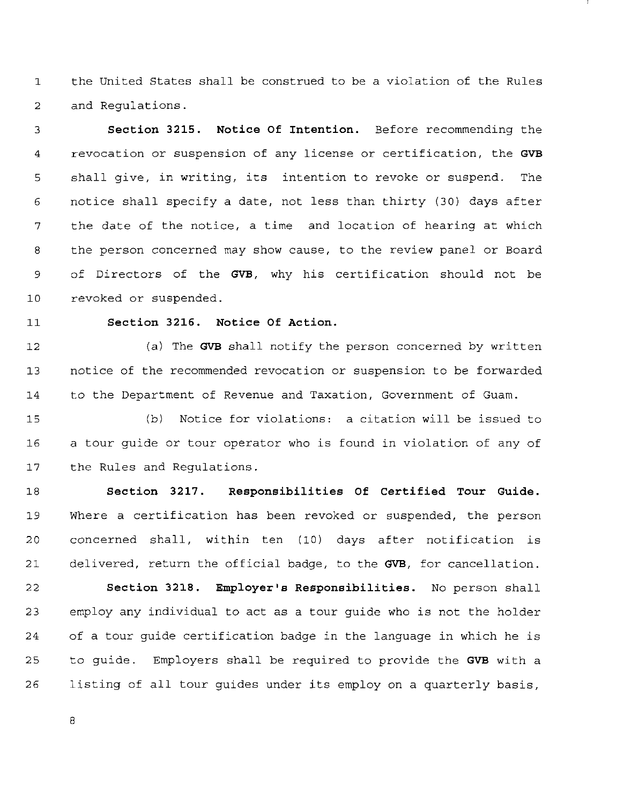the United States shall be construed to be a violation of the Rules  $\mathbf{1}$  $\overline{2}$ and Regulations.

**Section 3215. Notice Of Intention.** Before recommending the 3 revocation or suspension of any license or certification, the **GVB**   $\overline{4}$ 5 shall give, in writing, its intention to revoke or suspend. The notice shall specify a date, not less than thirty (30) days after 6 the date of the notice, a time and location of hearing at which 7 the person concerned may show cause, to the review panel or Board 8 9 of Directors of the **GVB,** why his certification should not be  $10$ revoked or suspended.

 $11$ 

#### **Section 3216. Notice Of Action.**

(a) The **GVB** shall notify the person concerned by written  $12$ notice of the recommended revocation or suspension to be forwarded  $13$ to the Department of Revenue and Taxation, Government of Guam.  $14$ 

15 (b) Notice for violations: a citation will be issued to  $16$ a tour guide or tour operator who is found in violation of any of  $17$ the Rules and Regulations.

**Section 3217. Responsibilities Of Certified Tour Guide.**   $18$ 19 Where a certification has been revoked or suspended, the person concerned shall, within ten (10) days after notification is  $20$ delivered, return the official badge, to the **GVB,** for cancellation.  $21$ 

22 **Section 3218. Employer's Responsibilities.** No person shall 23 employ any individual to act as a tour guide who is not the holder of a tour guide certification badge in the language in which he is 24 25 to guide. Employers shall be required to provide the **GVB** with a 26 listing of all tour guides under its employ on a quarterly basis,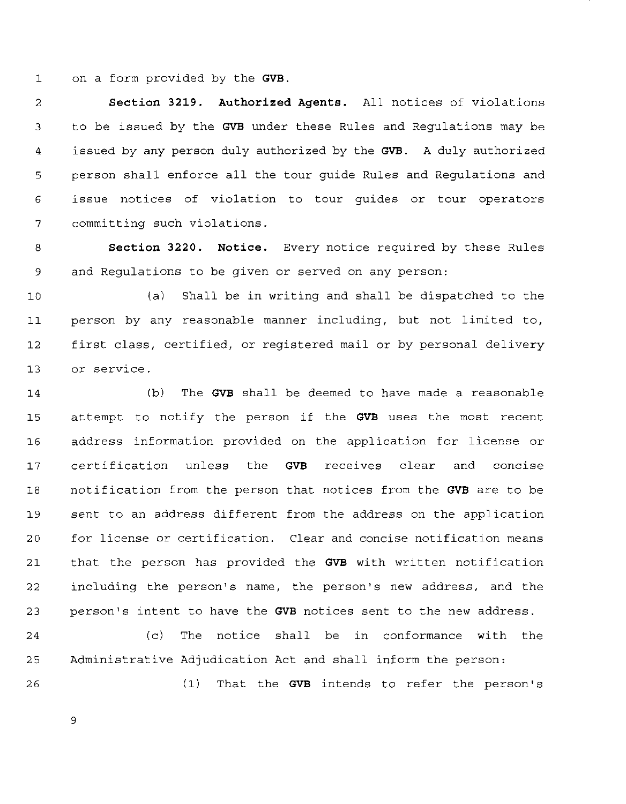on a form provided by the **GVB.**   $\mathbf{1}$ 

**Section 3219. Authorized Agents.** All notices of violations 2 to be issued by the **GVB** under these Rules and Regulations may be 3 issued by any person duly authorized by the **GVB.** A duly authorized  $\overline{4}$ person shall enforce all the tour guide Rules and Regulations and 5 issue notices of violation to tour guides or tour operators 6 committing such violations.  $\overline{7}$ 

**Section 3220. Notice.** Every notice required by these Rules 8 and Regulations to be given or served on any person: 9

(a) Shall be in writing and shall be dispatched to the  $10$ person by any reasonable manner including, but not limited to,  $11$ first class, certified, or registered mail or by personal delivery  $12$  $13$ or service.

(b) The **GVB** shall be deemed to have made a reasonable 14 attempt to notify the person if the **GVB** uses the most recent  $15$  $16$ address information provided on the application for license or  $17$ certification unless the **GVB** receives clear and concise notification from the person that notices from the **GVB** are to be  $18$ sent to an address different from the address on the application 19 20 for license or certification. Clear and concise notification means that the person has provided the **GVB** with written notification 21 including the person's name, the person's new address, and the 22 person's intent to have the **GVB** notices sent to the new address. 23

24 (c) The notice shall be in conformance with the 25 Administrative Adjudication Act and shall inform the person:

(1) That the **GVB** intends to refer the person's

9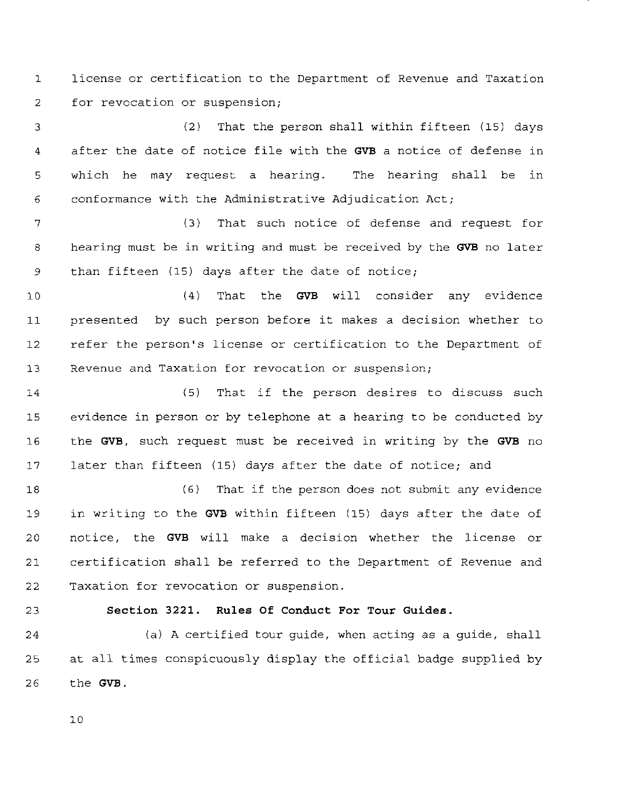$\mathbf{1}$ license or certification to the Department of Revenue and Taxation 2 for revocation or suspension;

(2) That the person shall within fifteen (15) days 3 after the date of notice file with the **GVB** a notice of defense in  $\overline{4}$ 5 which he may request a hearing. The hearing shall be in conformance with the Administrative Adjudication Act;  $\epsilon$ 

(3) That such notice of defense and request for 7 hearing must be in writing and must be received by the **GVB** no later 8 than fifteen (15) days after the date of notice; 9

(4) That the **GVB** will consider any evidence  $10$  $11$ presented by such person before it makes a decision whether to refer the person's license or certification to the Department of  $12$ Revenue and Taxation for revocation or suspension;  $13$ 

 $14$ (5) That if the person desires to discuss such 15 evidence in person or by telephone at a hearing to be conducted by the **GVB,** such request must be received in writing by the **GVB** no 16 later than fifteen (15) days after the date of notice; and  $17$ 

(6) That if the person does not submit any evidence  $18$ in writing to the **GVB** within fifteen 115) days after the date of  $19$ notice, the **GVB** will make a decision whether the license or 20 certification shall be referred to the Department of Revenue and  $21$ Taxation for revocation or suspension. 22

23

#### **Section 3221. Rules Of Conduct For Tour Guides.**

(a) A certified tour guide, when acting as a guide, shall 24 at all times conspicuously display the official badge supplied by 25 the **GVB.** 26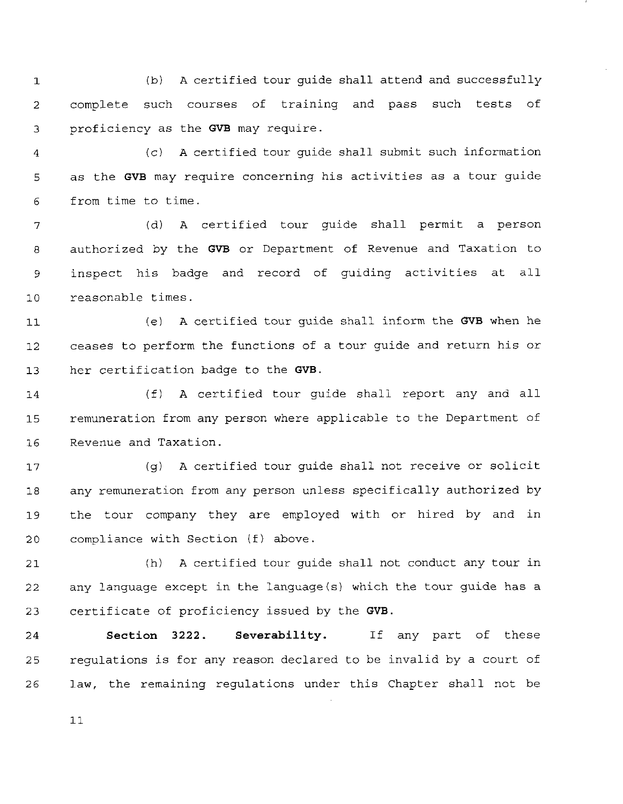(b) A certified tour guide shall attend and successfully  $\mathbf{1}$ complete such courses of training and pass such tests of  $\overline{2}$ proficiency as the **GVB** may require.  $\overline{3}$ 

(c) A certified tour guide shall submit such information  $\overline{4}$ as the **GVB** may require concerning his activities as a tour guide 5 from time to time. 6

(d) A certified tour guide shall permit a person  $\overline{7}$ authorized by the **GVB** or Department of Revenue and Taxation to 8 inspect his badge and record of guiding activities at all 9 reasonable times.  $10$ 

(e) A certified tour guide shall inform the **GVB** when he  $11$ ceases to perform the functions of a tour guide and return his or  $12.$ her certification badge to the **GVB.**   $13$ 

(f) A certified tour guide shall report any and all  $14$ remuneration from any person where applicable to the Department of  $15$ Revenue and Taxation.  $16$ 

(g) A certified tour guide shall not receive or solicit  $17$ any remuneration from any person unless specifically authorized by  $18$ the tour company they are employed with or hired by and in 19 compliance with Section if) above.  $20$ 

(h) A certified tour guide shall not conduct any tour in  $21$ any language except in the language(s) which the tour guide has a 22 certificate of proficiency issued by the **GVB.**  23

**Section 3222. Severability.** If any part of these 24 regulations is for any reason declared to be invalid by a court of 25 law, the remaining regulations under this Chapter shall not be 26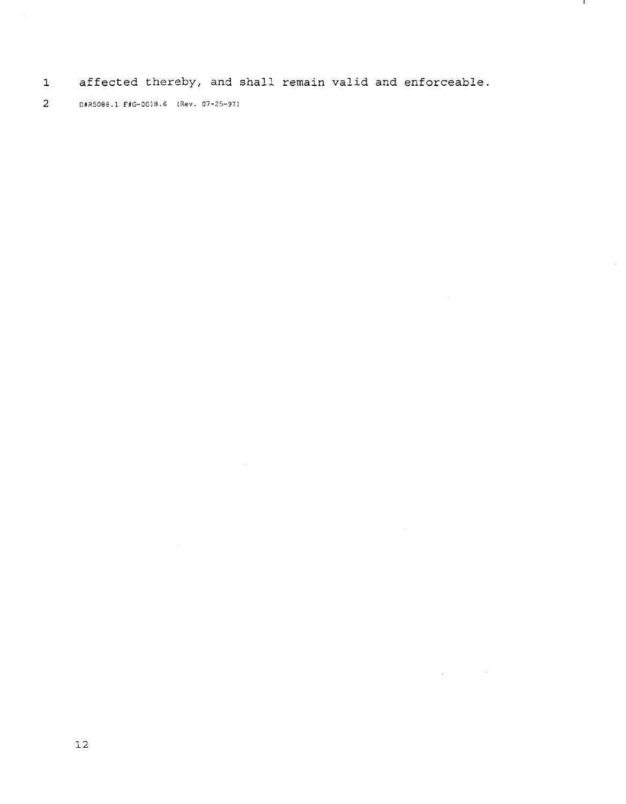1 affected thereby, and shall remain valid and enforceable.

 $\mathcal{L}^{\text{max}}_{\text{max}}$  and  $\mathcal{L}^{\text{max}}_{\text{max}}$ 

 $\mathbf{I}$ 

 $\label{eq:2.1} \frac{1}{\sqrt{2}}\left(\frac{1}{\sqrt{2}}\right)^{2} \left(\frac{1}{\sqrt{2}}\right)^{2} \left(\frac{1}{\sqrt{2}}\right)^{2} \left(\frac{1}{\sqrt{2}}\right)^{2} \left(\frac{1}{\sqrt{2}}\right)^{2} \left(\frac{1}{\sqrt{2}}\right)^{2} \left(\frac{1}{\sqrt{2}}\right)^{2} \left(\frac{1}{\sqrt{2}}\right)^{2} \left(\frac{1}{\sqrt{2}}\right)^{2} \left(\frac{1}{\sqrt{2}}\right)^{2} \left(\frac{1}{\sqrt{2}}\right)^{2} \left(\$ 

2 D#R5088.1 F#G-0018.6 (Rev. 07-25-97)